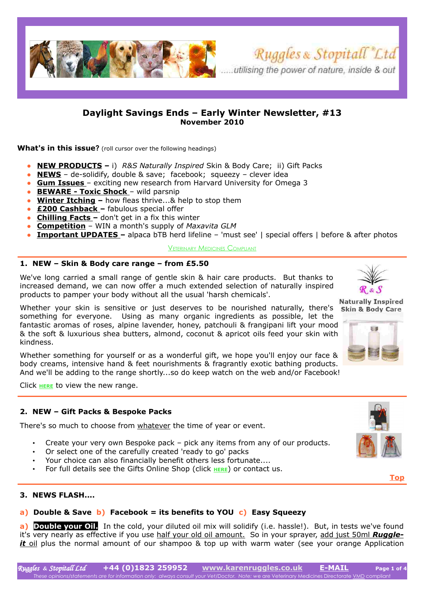<span id="page-0-0"></span>



**What's in this issue?** (roll cursor over the following headings)

- **[NEW PRODUCTS](#page-0-2) –** i) *R&S Naturally Inspired* Skin & Body Care; ii) Gift Packs
- **[NEWS](#page-0-1)** de-solidify, double & save; facebook; squeezy clever idea
- ● **[Gum Issues](#page-1-1)** exciting new research from Harvard University for Omega 3
- ● **[BEWARE Toxic Shock](#page-1-0)** wild parsnip
- **[Winter Itching](#page-2-2)** how fleas thrive...& help to stop them
- ● **[£200 Cashback](#page-2-1)** fabulous special offer
- ● **[Chilling Facts](#page-2-0)** don't get in a fix this winter
- **[Competition](#page-3-1)** WIN a month's supply of *Maxavita GLM*
- **Important UPDATES** alpaca bTB herd lifeline 'must see' | special offers | before & after photos

#### V[ETERINARY](http://www.karenruggles.co.uk/ruggleit_pages/ruggleit_vetmed.htm) MEDICINES COMPLIANT

#### <span id="page-0-2"></span>**1. NEW – Skin & Body care range – from £5.50**

We've long carried a small range of gentle skin & hair care products. But thanks to increased demand, we can now offer a much extended selection of naturally inspired products to pamper your body without all the usual 'harsh chemicals'.

Whether your skin is sensitive or just deserves to be nourished naturally, there's something for everyone. Using as many organic ingredients as possible, let the fantastic aromas of roses, alpine lavender, honey, patchouli & frangipani lift your mood & the soft & luxurious shea butters, almond, coconut & apricot oils feed your skin with kindness.

Whether something for yourself or as a wonderful gift, we hope you'll enjoy our face & body creams, intensive hand & feet nourishments & fragrantly exotic bathing products. And we'll be adding to the range shortly...so do keep watch on the web and/or Facebook!

Click **[HERE](http://www.karenruggles.co.uk/shop_pages/other_shopskin.htm)** to view the new range.

## **2. NEW – Gift Packs & Bespoke Packs**

There's so much to choose from whatever the time of year or event.

- Create your very own Bespoke pack pick any items from any of our products.
- Or select one of the carefully created 'ready to go' packs
- Your choice can also financially benefit others less fortunate....
- For full details see the Gifts Online Shop (click [HERE](http://www.karenruggles.co.uk/shop_pages/other_shopgiftpk.htm)) or contact us.

## <span id="page-0-1"></span>**3. NEWS FLASH....**

## **a) Double & Save b) Facebook = its benefits to YOU c) Easy Squeezy**

**a)** Double your Oil. In the cold, your diluted oil mix will solidify (i.e. hassle!). But, in tests we've found it's very nearly as effective if you use half your old oil amount. So in your sprayer, add just 50ml *Ruggle it* oil plus the normal amount of our shampoo & top up with warm water (see your orange Application



**[Top](#page-0-0)**







Ruggles & Stopitall "Ltd



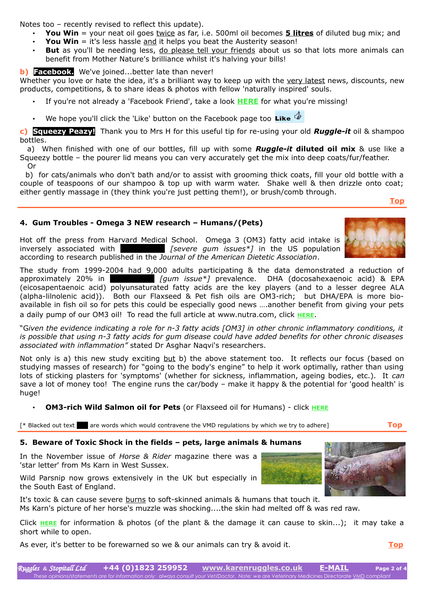Notes too – recently revised to reflect this update).

- **You Win** = your neat oil goes twice as far, i.e. 500ml oil becomes **5 litres** of diluted bug mix; and
- **You Win** = it's less hassle and it helps you beat the Austerity season!
- **But** as you'll be needing less, do please tell your friends about us so that lots more animals can benefit from Mother Nature's brilliance whilst it's halving your bills!

## **b) Facebook.** We've joined...better late than never!

Whether you love or hate the idea, it's a brilliant way to keep up with the very latest news, discounts, new products, competitions, & to share ideas & photos with fellow 'naturally inspired' souls.

- If you're not already a 'Facebook Friend', take a look **[HERE](http://tres.mylogomail.com/sendlink.asp?HitID=0&StID=8888&SID=6&NID=184320&EmID=9741335&Link=aHR0cDovL3d3dy5mYWNlYm9vay5jb20vcGFnZXMvVGF1bnRvbi1Vbml0ZWQtS2luZ2RvbS9SdWdnbGVzLVN0b3BpdGFsbC1MdGQvMTUwMTcwMjI1MDE0OTM2P3JlZj10cw==&token=5dfc24c02d60010d269f117add17c166d1e70450)** for what you're missing!
- We hope you'll click the 'Like' button on the Facebook page too Like

**c) Squeezy Peazy!** Thank you to Mrs H for this useful tip for re-using your old *Ruggle-it* oil & shampoo bottles.

 a) When finished with one of our bottles, fill up with some *Ruggle-it* **diluted oil mix** & use like a Squeezy bottle – the pourer lid means you can very accurately get the mix into deep coats/fur/feather. Or

 b) for cats/animals who don't bath and/or to assist with grooming thick coats, fill your old bottle with a couple of teaspoons of our shampoo & top up with warm water. Shake well & then drizzle onto coat; either gently massage in (they think you're just petting them!), or brush/comb through.

**[Top](#page-0-0)**

## <span id="page-1-1"></span>**4. Gum Troubles - Omega 3 NEW research – Humans/(Pets)**

Hot off the press from Harvard Medical School. Omega 3 (OM3) fatty acid intake is inversely associated with **periodonal intervalse in the US** population according to research published in the *Journal of the American Dietetic Association*.

The study from 1999-2004 had 9,000 adults participating & the data demonstrated a reduction of approximately 20% in **periodontitis in all periods** *[gum issue\*]* prevalence. DHA (docosahexaenoic acid) & EPA (eicosapentaenoic acid) polyunsaturated fatty acids are the key players (and to a lesser degree ALA (alpha-lilnolenic acid)). Both our Flaxseed & Pet fish oils are OM3-rich; but DHA/EPA is more bioavailable in fish oil so for pets this could be especially good news ….another benefit from giving your pets a daily pump of our OM3 oil! To read the full article at www.nutra.com, click **[HERE](http://www.nutraingredients.com/Research/Omega-3-may-reduce-gum-disease-Study/?utm_source=Newsletter_Product&utm_medium=email&utm_campaign=Newsletter+Product)**.

"G*iven the evidence indicating a role for n-3 fatty acids [OM3] in other chronic inflammatory conditions, it is possible that using n-3 fatty acids for gum disease could have added benefits for other chronic diseases associated with inflammation"* stated Dr Asghar Naqvi's researchers.

Not only is a) this new study exciting but b) the above statement too. It reflects our focus (based on studying masses of research) for "going to the body's engine" to help it work optimally, rather than using lots of sticking plasters for 'symptoms' (whether for sickness, inflammation, ageing bodies, etc.). It *can* save a lot of money too! The engine runs the car/body – make it happy & the potential for 'good health' is huge!

• **OM3-rich Wild Salmon oil for Pets** (or Flaxseed oil for Humans) - click **[HERE](http://www.karenruggles.co.uk/shop_pages/omega3_shop.htm)**

[\* Blacked out text **dec** are words which would contravene the VMD regulations by which we try to adhere] **[Top](#page-0-0)** 

# <span id="page-1-0"></span>**5. Beware of Toxic Shock in the fields – pets, large animals & humans**

In the November issue of *Horse & Rider* magazine there was a 'star letter' from Ms Karn in West Sussex.

Wild Parsnip now grows extensively in the UK but especially in the South East of England.

It's toxic & can cause severe burns to soft-skinned animals & humans that touch it. Ms Karn's picture of her horse's muzzle was shocking....the skin had melted off & was red raw.

Click **[HERE](http://www.karenruggles.co.uk/ruggleit_pages/ruggleit_newsletters/wild_parsnip.htm)** for information & photos (of the plant & the damage it can cause to skin...); it may take a short while to open.

As ever, it's better to be forewarned so we & our animals can try & avoid it. **[Top](#page-0-0)**



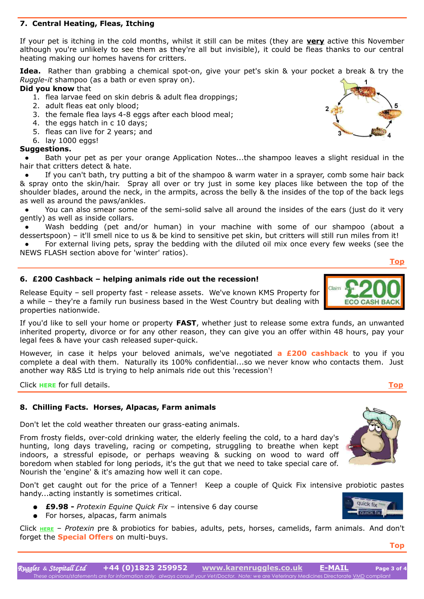# <span id="page-2-2"></span>**7. Central Heating, Fleas, Itching**

If your pet is itching in the cold months, whilst it still can be mites (they are **very** active this November although you're unlikely to see them as they're all but invisible), it could be fleas thanks to our central heating making our homes havens for critters.

**Idea.** Rather than grabbing a chemical spot-on, give your pet's skin & your pocket a break & try the *Ruggle-it* shampoo (as a bath or even spray on).

## **Did you know** that

- 1. flea larvae feed on skin debris & adult flea droppings;
- 2. adult fleas eat only blood;
- 3. the female flea lays 4-8 eggs after each blood meal;

<span id="page-2-1"></span>**6. £200 Cashback – helping animals ride out the recession!**

another way R&S Ltd is trying to help animals ride out this 'recession'!

legal fees & have your cash released super-quick.

<span id="page-2-0"></span>**8. Chilling Facts. Horses, Alpacas, Farm animals** 

Nourish the 'engine' & it's amazing how well it can cope.

Don't let the cold weather threaten our grass-eating animals.

- 4. the eggs hatch in c 10 days;
- 5. fleas can live for 2 years; and
- 6. lay 1000 eggs!

properties nationwide.

## **Suggestions.**

Bath your pet as per your orange Application Notes...the shampoo leaves a slight residual in the hair that critters detect & hate.

If you can't bath, try putting a bit of the shampoo & warm water in a sprayer, comb some hair back & spray onto the skin/hair. Spray all over or try just in some key places like between the top of the shoulder blades, around the neck, in the armpits, across the belly & the insides of the top of the back legs as well as around the paws/ankles.

 **●** You can also smear some of the semi-solid salve all around the insides of the ears (just do it very gently) as well as inside collars.

Wash bedding (pet and/or human) in your machine with some of our shampoo (about a dessertspoon) – it'll smell nice to us & be kind to sensitive pet skin, but critters will still run miles from it!

For external living pets, spray the bedding with the diluted oil mix once every few weeks (see the NEWS FLASH section above for 'winter' ratios).

If you'd like to sell your home or property **FAST**, whether just to release some extra funds, an unwanted inherited property, divorce or for any other reason, they can give you an offer within 48 hours, pay your

However, in case it helps your beloved animals, we've negotiated **a £200 cashback** to you if you complete a deal with them. Naturally its 100% confidential...so we never know who contacts them. Just

From frosty fields, over-cold drinking water, the elderly feeling the cold, to a hard day's hunting, long days traveling, racing or competing, struggling to breathe when kept indoors, a stressful episode, or perhaps weaving & sucking on wood to ward off boredom when stabled for long periods, it's the gut that we need to take special care of.

- **£9.98** *Protexin Equine Quick Fix* intensive 6 day course
- For horses, alpacas, farm animals

Click **[HERE](http://www.karenruggles.co.uk/rs_probiotics.htm)** – *Protexin* pre & probiotics for babies, adults, pets, horses, camelids, farm animals. And don't forget the **Special Offers** on multi-buys.

**[Top](#page-0-0)**









Click **[HERE](http://www.karenruggles.co.uk/ruggleit_pages/ruggleit_newsletters/kms_property.htm)** for full details. **[Top](#page-0-0)**

**[Top](#page-0-0)**